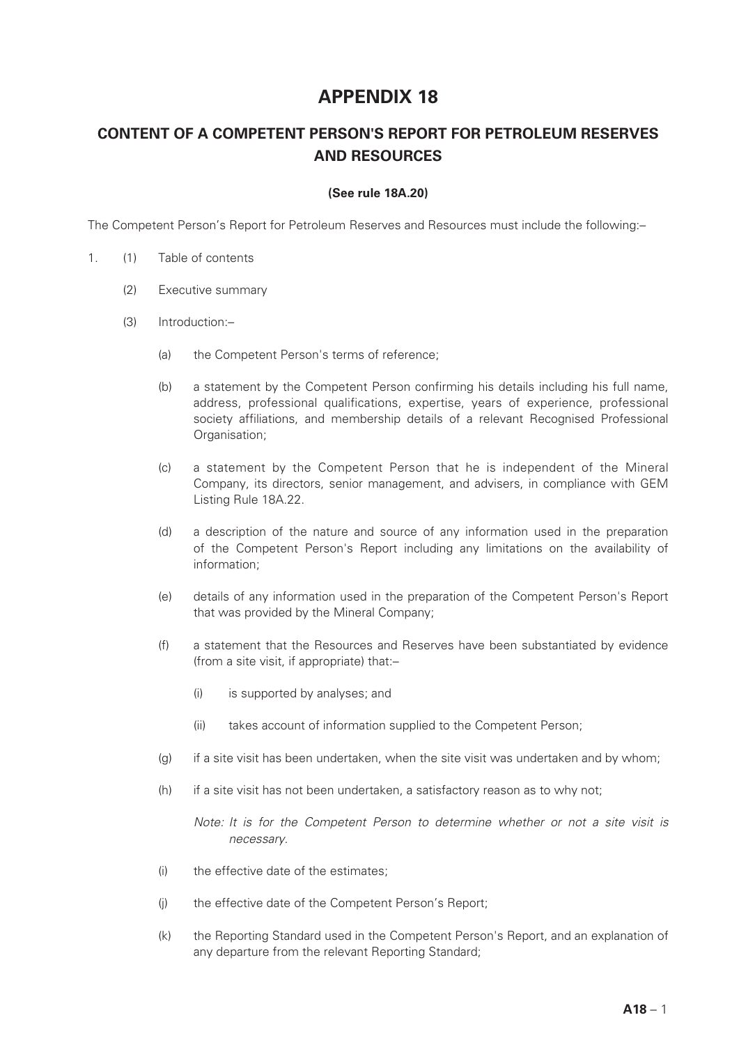## **APPENDIX 18**

## **CONTENT OF A COMPETENT PERSON'S REPORT FOR PETROLEUM RESERVES AND RESOURCES**

## **(See rule 18A.20)**

The Competent Person's Report for Petroleum Reserves and Resources must include the following:–

- 1. (1) Table of contents
	- (2) Executive summary
	- (3) Introduction:–
		- (a) the Competent Person's terms of reference;
		- (b) a statement by the Competent Person confirming his details including his full name, address, professional qualifications, expertise, years of experience, professional society affiliations, and membership details of a relevant Recognised Professional Organisation:
		- (c) a statement by the Competent Person that he is independent of the Mineral Company, its directors, senior management, and advisers, in compliance with GEM Listing Rule 18A.22.
		- (d) a description of the nature and source of any information used in the preparation of the Competent Person's Report including any limitations on the availability of information;
		- (e) details of any information used in the preparation of the Competent Person's Report that was provided by the Mineral Company;
		- (f) a statement that the Resources and Reserves have been substantiated by evidence (from a site visit, if appropriate) that:–
			- (i) is supported by analyses; and
			- (ii) takes account of information supplied to the Competent Person;
		- (g) if a site visit has been undertaken, when the site visit was undertaken and by whom;
		- (h) if a site visit has not been undertaken, a satisfactory reason as to why not;

*Note: It is for the Competent Person to determine whether or not a site visit is necessary.*

- (i) the effective date of the estimates;
- (j) the effective date of the Competent Person's Report;
- (k) the Reporting Standard used in the Competent Person's Report, and an explanation of any departure from the relevant Reporting Standard;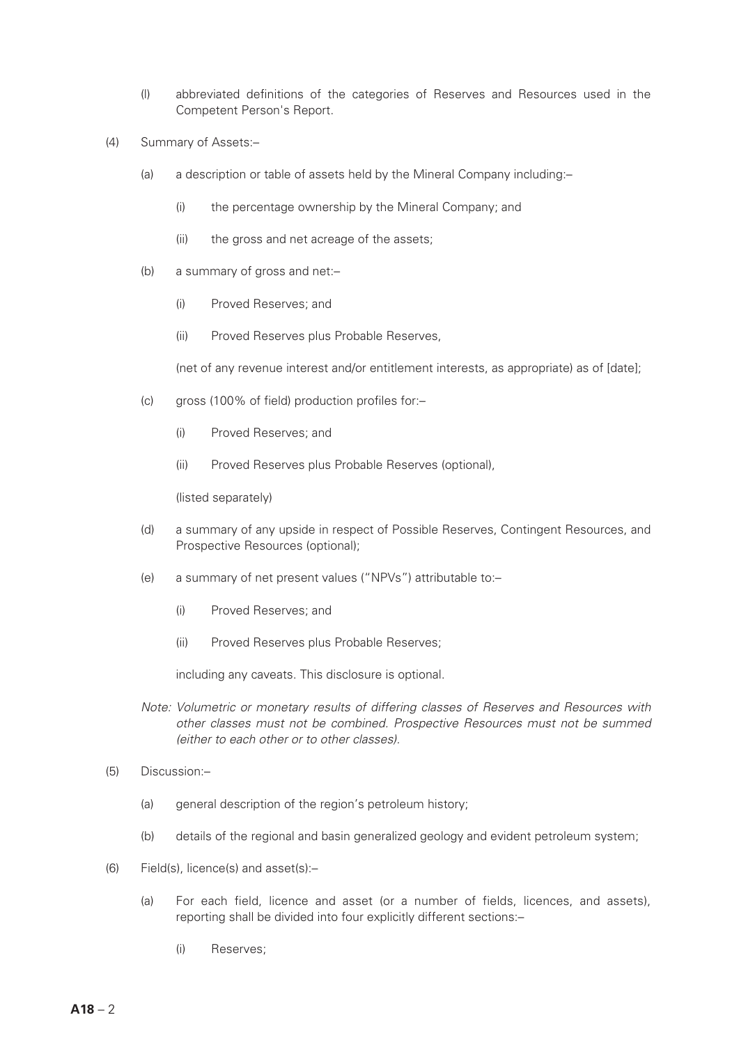- (l) abbreviated definitions of the categories of Reserves and Resources used in the Competent Person's Report.
- (4) Summary of Assets:–
	- (a) a description or table of assets held by the Mineral Company including:–
		- (i) the percentage ownership by the Mineral Company; and
		- (ii) the gross and net acreage of the assets;
	- (b) a summary of gross and net:–
		- (i) Proved Reserves; and
		- (ii) Proved Reserves plus Probable Reserves,

(net of any revenue interest and/or entitlement interests, as appropriate) as of [date];

- (c) gross (100% of field) production profiles for:–
	- (i) Proved Reserves; and
	- (ii) Proved Reserves plus Probable Reserves (optional),

(listed separately)

- (d) a summary of any upside in respect of Possible Reserves, Contingent Resources, and Prospective Resources (optional);
- (e) a summary of net present values ("NPVs") attributable to:–
	- (i) Proved Reserves; and
	- (ii) Proved Reserves plus Probable Reserves;

including any caveats. This disclosure is optional.

- *Note: Volumetric or monetary results of differing classes of Reserves and Resources with other classes must not be combined. Prospective Resources must not be summed (either to each other or to other classes).*
- (5) Discussion:–
	- (a) general description of the region's petroleum history;
	- (b) details of the regional and basin generalized geology and evident petroleum system;
- (6) Field(s), licence(s) and asset(s):–
	- (a) For each field, licence and asset (or a number of fields, licences, and assets), reporting shall be divided into four explicitly different sections:–
		- (i) Reserves;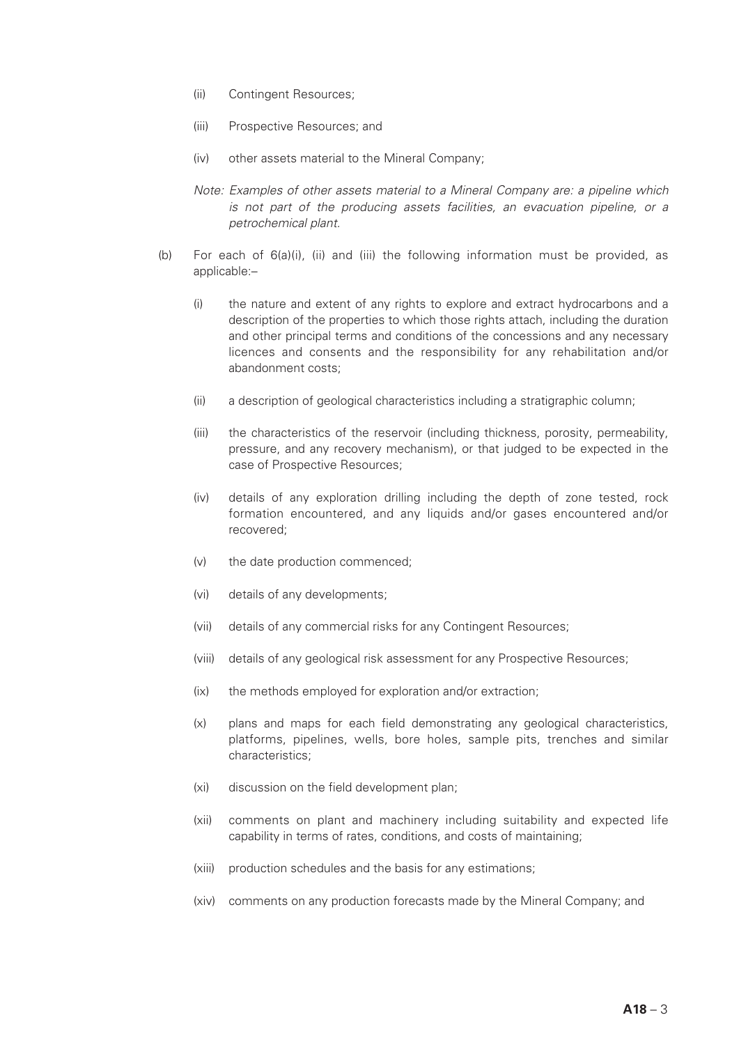- (ii) Contingent Resources;
- (iii) Prospective Resources; and
- (iv) other assets material to the Mineral Company;
- *Note: Examples of other assets material to a Mineral Company are: a pipeline which is not part of the producing assets facilities, an evacuation pipeline, or a petrochemical plant.*
- (b) For each of 6(a)(i), (ii) and (iii) the following information must be provided, as applicable:–
	- (i) the nature and extent of any rights to explore and extract hydrocarbons and a description of the properties to which those rights attach, including the duration and other principal terms and conditions of the concessions and any necessary licences and consents and the responsibility for any rehabilitation and/or abandonment costs;
	- (ii) a description of geological characteristics including a stratigraphic column;
	- (iii) the characteristics of the reservoir (including thickness, porosity, permeability, pressure, and any recovery mechanism), or that judged to be expected in the case of Prospective Resources;
	- (iv) details of any exploration drilling including the depth of zone tested, rock formation encountered, and any liquids and/or gases encountered and/or recovered;
	- (v) the date production commenced;
	- (vi) details of any developments;
	- (vii) details of any commercial risks for any Contingent Resources;
	- (viii) details of any geological risk assessment for any Prospective Resources;
	- (ix) the methods employed for exploration and/or extraction;
	- (x) plans and maps for each field demonstrating any geological characteristics, platforms, pipelines, wells, bore holes, sample pits, trenches and similar characteristics;
	- (xi) discussion on the field development plan;
	- (xii) comments on plant and machinery including suitability and expected life capability in terms of rates, conditions, and costs of maintaining;
	- (xiii) production schedules and the basis for any estimations;
	- (xiv) comments on any production forecasts made by the Mineral Company; and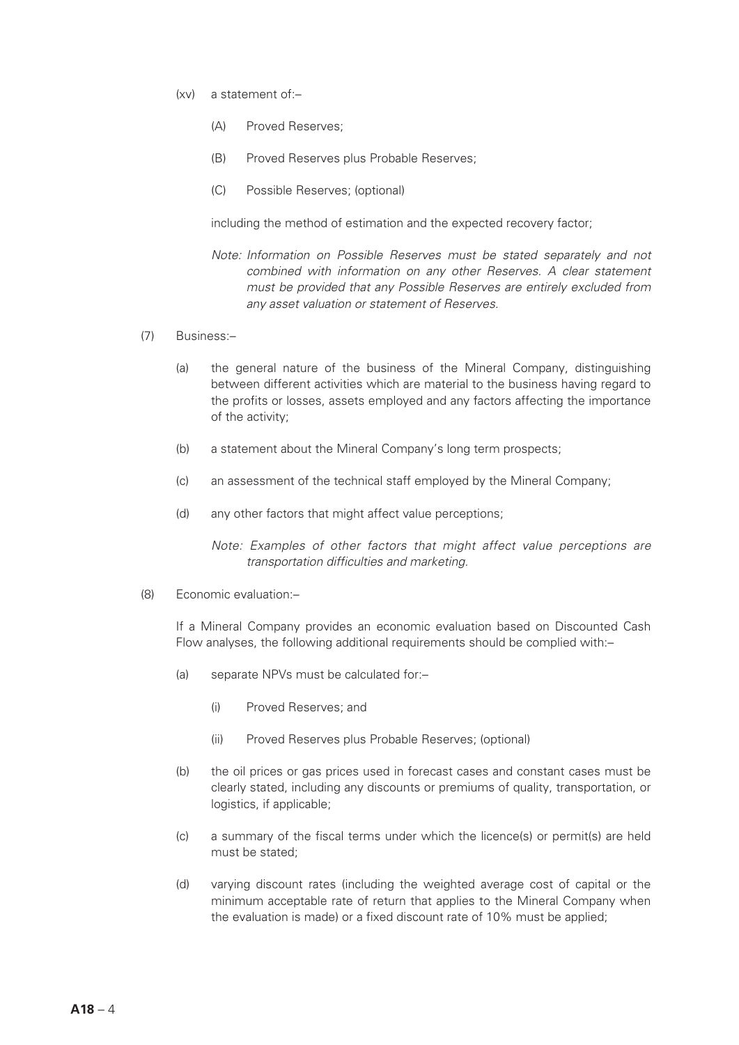- (xv) a statement of:–
	- (A) Proved Reserves;
	- (B) Proved Reserves plus Probable Reserves;
	- (C) Possible Reserves; (optional)

including the method of estimation and the expected recovery factor;

- *Note: Information on Possible Reserves must be stated separately and not combined with information on any other Reserves. A clear statement must be provided that any Possible Reserves are entirely excluded from any asset valuation or statement of Reserves.*
- (7) Business:–
	- (a) the general nature of the business of the Mineral Company, distinguishing between different activities which are material to the business having regard to the profits or losses, assets employed and any factors affecting the importance of the activity;
	- (b) a statement about the Mineral Company's long term prospects;
	- (c) an assessment of the technical staff employed by the Mineral Company;
	- (d) any other factors that might affect value perceptions;

*Note: Examples of other factors that might affect value perceptions are transportation difficulties and marketing.*

(8) Economic evaluation:–

If a Mineral Company provides an economic evaluation based on Discounted Cash Flow analyses, the following additional requirements should be complied with:–

- (a) separate NPVs must be calculated for:–
	- (i) Proved Reserves; and
	- (ii) Proved Reserves plus Probable Reserves; (optional)
- (b) the oil prices or gas prices used in forecast cases and constant cases must be clearly stated, including any discounts or premiums of quality, transportation, or logistics, if applicable;
- (c) a summary of the fiscal terms under which the licence(s) or permit(s) are held must be stated;
- (d) varying discount rates (including the weighted average cost of capital or the minimum acceptable rate of return that applies to the Mineral Company when the evaluation is made) or a fixed discount rate of 10% must be applied;